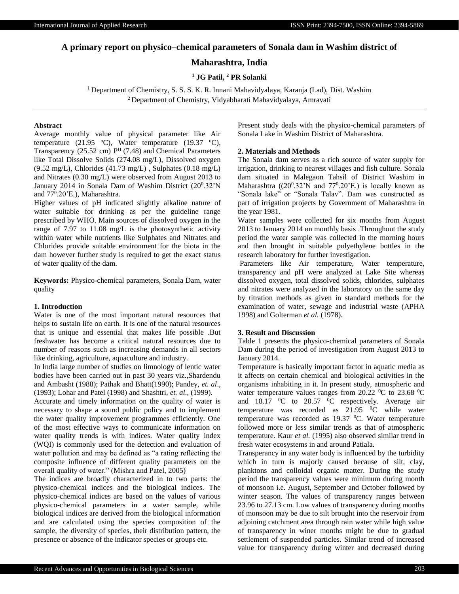# **A primary report on physico–chemical parameters of Sonala dam in Washim district of**

# **Maharashtra, India**

**<sup>1</sup> JG Patil, <sup>2</sup> PR Solanki**

<sup>1</sup> Department of Chemistry, S. S. S. K. R. Innani Mahavidyalaya, Karanja (Lad), Dist. Washim <sup>2</sup>Department of Chemistry, Vidyabharati Mahavidyalaya, Amravati

#### **Abstract**

Average monthly value of physical parameter like Air temperature (21.95  $^{\circ}$ C), Water temperature (19.37  $^{\circ}$ C), Transparency (25.52 cm)  $P<sup>H</sup>$  (7.48) and Chemical Parameters like Total Dissolve Solids (274.08 mg/L), Dissolved oxygen (9.52 mg/L), Chlorides (41.73 mg/L) , Sulphates (0.18 mg/L) and Nitrates (0.30 mg/L) were observed from August 2013 to January 2014 in Sonala Dam of Washim District (20<sup>0</sup>.32'N and 77<sup>0</sup>.20'E.), Maharashtra.

Higher values of pH indicated slightly alkaline nature of water suitable for drinking as per the guideline range prescribed by WHO. Main sources of dissolved oxygen in the range of 7.97 to 11.08 mg/L is the photosynthetic activity within water while nutrients like Sulphates and Nitrates and Chlorides provide suitable environment for the biota in the dam however further study is required to get the exact status of water quality of the dam.

**Keywords:** Physico-chemical parameters, Sonala Dam, water quality

### **1. Introduction**

Water is one of the most important natural resources that helps to sustain life on earth. It is one of the natural resources that is unique and essential that makes life possible .But freshwater has become a critical natural resources due to number of reasons such as increasing demands in all sectors like drinking, agriculture, aquaculture and industry.

In India large number of studies on limnology of lentic water bodies have been carried out in past 30 years viz.,Shardendu and Ambasht (1988); Pathak and Bhatt(1990); Pandey, *et. al*., (1993); Lohar and Patel (1998) and Shashtri, *et. al*., (1999).

Accurate and timely information on the quality of water is necessary to shape a sound public policy and to implement the water quality improvement programmes efficiently. One of the most effective ways to communicate information on water quality trends is with indices. Water quality index (WQI) is commonly used for the detection and evaluation of water pollution and may be defined as "a rating reflecting the composite influence of different quality parameters on the overall quality of water." (Mishra and Patel, 2005)

The indices are broadly characterized in to two parts: the physico-chemical indices and the biological indices. The physico-chemical indices are based on the values of various physico-chemical parameters in a water sample, while biological indices are derived from the biological information and are calculated using the species composition of the sample, the diversity of species, their distribution pattern, the presence or absence of the indicator species or groups etc.

Present study deals with the physico-chemical parameters of Sonala Lake in Washim District of Maharashtra.

# **2. Materials and Methods**

The Sonala dam serves as a rich source of water supply for irrigation, drinking to nearest villages and fish culture. Sonala dam situated in Malegaon Tahsil of District Washim in Maharashtra  $((20^0.32^{\prime}\text{N}$  and  $77^0.20^{\prime}\text{E})$  is locally known as "Sonala lake" or "Sonala Talav". Dam was constructed as part of irrigation projects by Government of Maharashtra in the year 1981.

Water samples were collected for six months from August 2013 to January 2014 on monthly basis .Throughout the study period the water sample was collected in the morning hours and then brought in suitable polyethylene bottles in the research laboratory for further investigation.

Parameters like Air temperature, Water temperature, transparency and pH were analyzed at Lake Site whereas dissolved oxygen, total dissolved solids, chlorides, sulphates and nitrates were analyzed in the laboratory on the same day by titration methods as given in standard methods for the examination of water, sewage and industrial waste (APHA 1998) and Golterman *et al.* (1978).

### **3. Result and Discussion**

Table 1 presents the physico-chemical parameters of Sonala Dam during the period of investigation from August 2013 to January 2014.

Temperature is basically important factor in aquatic media as it affects on certain chemical and biological activities in the organisms inhabiting in it. In present study, atmospheric and water temperature values ranges from 20.22  $\,^0C$  to 23.68  $\,^0C$ and  $18.17$  <sup>o</sup>C to  $20.57$  <sup>o</sup>C respectively. Average air temperature was recorded as  $21.95$  <sup>0</sup>C while water temperature was recorded as 19.37  $^0$ C. Water temperature followed more or less similar trends as that of atmospheric temperature. Kaur *et al.* (1995) also observed similar trend in fresh water ecosystems in and around Patiala.

Transperancy in any water body is influenced by the turbidity which in turn is majorly caused because of silt, clay, planktons and colloidal organic matter. During the study period the transparency values were minimum during month of monsoon i.e. August, September and October followed by winter season. The values of transparency ranges between 23.96 to 27.13 cm. Low values of transparency during months of monsoon may be due to silt brought into the reservoir from adjoining catchment area through rain water while high value of transparency in winer months might be due to gradual settlement of suspended particles. Similar trend of increased value for transparency during winter and decreased during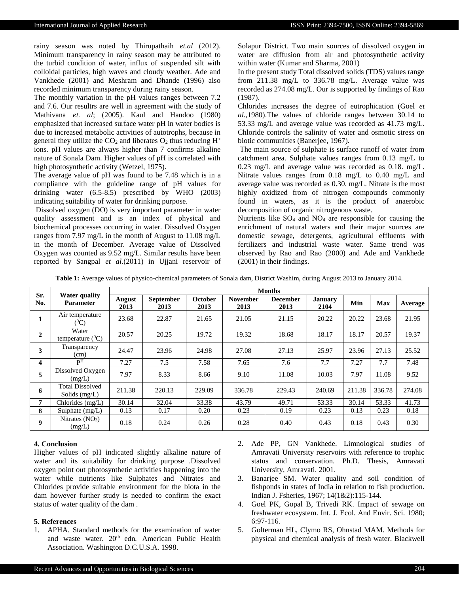rainy season was noted by Thirupathaih *et.al* (2012). Minimum transparency in rainy season may be attributed to the turbid condition of water, influx of suspended silt with colloidal particles, high waves and cloudy weather. Ade and Vankhede (2001) and Meshram and Dhande (1996) also recorded minimum transparency during rainy season.

The monthly variation in the pH values ranges between 7.2 and 7.6. Our resultrs are well in agreement with the study of Mathivana *et. al*; (2005). Kaul and Handoo (1980) emphasized that increased surface water pH in water bodies is due to increased metabolic activities of autotrophs, because in general they utilize the  $CO<sub>2</sub>$  and liberates  $O<sub>2</sub>$  thus reducing  $H<sup>+</sup>$ ions. pH values are always higher than 7 confirms alkaline nature of Sonala Dam. Higher values of pH is correlated with high photosynthetic activity (Wetzel, 1975).

The average value of pH was found to be 7.48 which is in a compliance with the guideline range of pH values for drinking water (6.5-8.5) prescribed by WHO (2003) indicating suitability of water for drinking purpose.

Dissolved oxygen (DO) is very important parameter in water quality assessment and is an index of physical and biochemical processes occurring in water. Dissolved Oxygen ranges from 7.97 mg/L in the month of August to 11.08 mg/L in the month of December. Average value of Dissolved Oxygen was counted as 9.52 mg/L. Similar results have been reported by Sangpal *et al.*(2011) in Ujjani reservoir of Solapur District. Two main sources of dissolved oxygen in water are diffusion from air and photosynthetic activity within water (Kumar and Sharma, 2001)

In the present study Total dissolved solids (TDS) values range from 211.38 mg/L to 336.78 mg/L. Average value was recorded as 274.08 mg/L. Our is supported by findings of Rao (1987).

Chlorides increases the degree of eutrophication (Goel *et al.,*1980).The values of chloride ranges between 30.14 to 53.33 mg/L and average value was recorded as 41.73 mg/L. Chloride controls the salinity of water and osmotic stress on biotic communities (Banerjee, 1967).

The main source of sulphate is surface runoff of water from catchment area. Sulphate values ranges from 0.13 mg/L to 0.23 mg/L and average value was recorded as 0.18. mg/L. Nitrate values ranges from 0.18 mg/L to 0.40 mg/L and average value was recorded as 0.30. mg/L. Nitrate is the most highly oxidized from of nitrogen compounds commonly found in waters, as it is the product of anaerobic decomposition of organic nitrogenous waste.

Nutrients like SO<sup>4</sup> and NO<sup>4</sup> are responsible for causing the enrichment of natural waters and their major sources are domestic sewage, detergents, agricultural effluents with fertilizers and industrial waste water. Same trend was observed by Rao and Rao (2000) and Ade and Vankhede (2001) in their findings.

**Table 1:** Average values of physico-chemical parameters of Sonala dam, District Washim, during August 2013 to January 2014.

| Sr.<br>No.              | <b>Water quality</b><br><b>Parameter</b>  | <b>Months</b>         |                          |                        |                         |                         |                        |        |            |         |
|-------------------------|-------------------------------------------|-----------------------|--------------------------|------------------------|-------------------------|-------------------------|------------------------|--------|------------|---------|
|                         |                                           | <b>August</b><br>2013 | <b>September</b><br>2013 | <b>October</b><br>2013 | <b>November</b><br>2013 | <b>December</b><br>2013 | <b>January</b><br>2104 | Min    | <b>Max</b> | Average |
| 1                       | Air temperature<br>$(^0C)$                | 23.68                 | 22.87                    | 21.65                  | 21.05                   | 21.15                   | 20.22                  | 20.22  | 23.68      | 21.95   |
| $\mathbf{2}$            | Water<br>temperature $(^{0}C)$            | 20.57                 | 20.25                    | 19.72                  | 19.32                   | 18.68                   | 18.17                  | 18.17  | 20.57      | 19.37   |
| 3                       | Transparency<br>(cm)                      | 24.47                 | 23.96                    | 24.98                  | 27.08                   | 27.13                   | 25.97                  | 23.96  | 27.13      | 25.52   |
| $\overline{\mathbf{4}}$ | pН                                        | 7.27                  | 7.5                      | 7.58                   | 7.65                    | 7.6                     | 7.7                    | 7.27   | 7.7        | 7.48    |
| 5                       | Dissolved Oxygen<br>(mg/L)                | 7.97                  | 8.33                     | 8.66                   | 9.10                    | 11.08                   | 10.03                  | 7.97   | 11.08      | 9.52    |
| 6                       | <b>Total Dissolved</b><br>Solids $(mg/L)$ | 211.38                | 220.13                   | 229.09                 | 336.78                  | 229.43                  | 240.69                 | 211.38 | 336.78     | 274.08  |
| $\overline{7}$          | Chlorides $(mg/L)$                        | 30.14                 | 32.04                    | 33.38                  | 43.79                   | 49.71                   | 53.33                  | 30.14  | 53.33      | 41.73   |
| 8                       | Sulphate $(mg/L)$                         | 0.13                  | 0.17                     | 0.20                   | 0.23                    | 0.19                    | 0.23                   | 0.13   | 0.23       | 0.18    |
| 9                       | Nitrates $(NO3)$<br>(mg/L)                | 0.18                  | 0.24                     | 0.26                   | 0.28                    | 0.40                    | 0.43                   | 0.18   | 0.43       | 0.30    |

# **4. Conclusion**

Higher values of pH indicated slightly alkaline nature of water and its suitability for drinking purpose .Dissolved oxygen point out photosynthetic activities happening into the water while nutrients like Sulphates and Nitrates and Chlorides provide suitable environment for the biota in the dam however further study is needed to confirm the exact status of water quality of the dam .

#### **5. References**

- 1. APHA. Standard methods for the examination of water and waste water. 20<sup>th</sup> edn. American Public Health Association. Washington D.C.U.S.A*.* 1998.
- 2. Ade PP, GN Vankhede. Limnological studies of Amravati University reservoirs with reference to trophic status and conservation. Ph.D. Thesis, Amravati University, Amravati. 2001.
- 3. Banarjee SM. Water quality and soil condition of fishponds in states of India in relation to fish production. Indian J. Fsheries*,* 1967; 14(1&2):115-144.
- 4. Goel PK, Gopal B, Trivedi RK. Impact of sewage on freshwater ecosystem. Int. J. Ecol. And Envir. Sci. 1980; 6:97-116.
- 5. Golterman HL, Clymo RS, Ohnstad MAM. Methods for physical and chemical analysis of fresh water. Blackwell